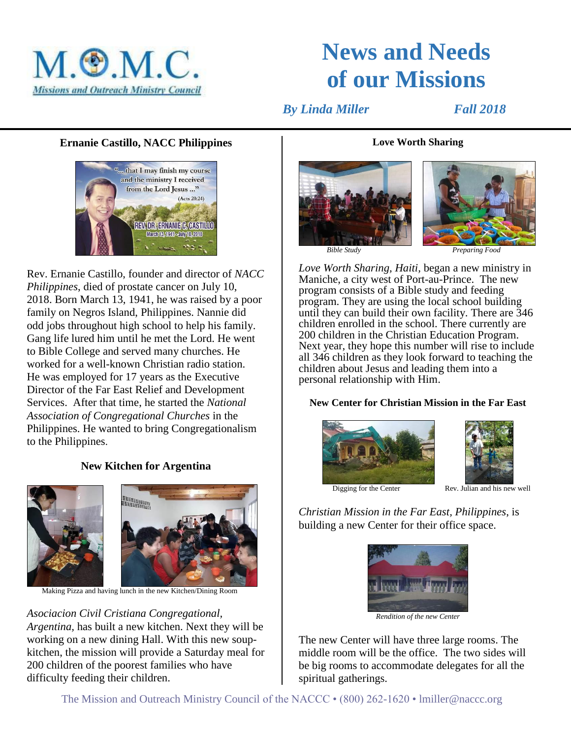

# **News and Needs of our Missions**

*By Linda Miller* Fall 2018

# **Ernanie Castillo, NACC Philippines**



Rev. Ernanie Castillo, founder and director of *NACC Philippines*, died of prostate cancer on July 10, 2018. Born March 13, 1941, he was raised by a poor family on Negros Island, Philippines. Nannie did odd jobs throughout high school to help his family. Gang life lured him until he met the Lord. He went to Bible College and served many churches. He worked for a well-known Christian radio station. He was employed for 17 years as the Executive Director of the Far East Relief and Development Services. After that time, he started the *National Association of Congregational Churches* in the Philippines. He wanted to bring Congregationalism to the Philippines.

# **New Kitchen for Argentina**



Making Pizza and having lunch in the new Kitchen/Dining Room

*Asociacion Civil Cristiana Congregational, Argentina,* has built a new kitchen. Next they will be working on a new dining Hall. With this new soupkitchen, the mission will provide a Saturday meal for 200 children of the poorest families who have difficulty feeding their children.

#### **Love Worth Sharing**





*Love Worth Sharing, Haiti,* began a new ministry in Maniche, a city west of Port-au-Prince. The new program consists of a Bible study and feeding program. They are using the local school building until they can build their own facility. There are 346 children enrolled in the school. There currently are 200 children in the Christian Education Program. Next year, they hope this number will rise to include all 346 children as they look forward to teaching the children about Jesus and leading them into a personal relationship with Him.

#### **New Center for Christian Mission in the Far East**





Digging for the Center Rev. Julian and his new well

*Christian Mission in the Far East, Philippines*, is building a new Center for their office space.



*Rendition of the new Center*

The new Center will have three large rooms. The middle room will be the office. The two sides will be big rooms to accommodate delegates for all the spiritual gatherings.